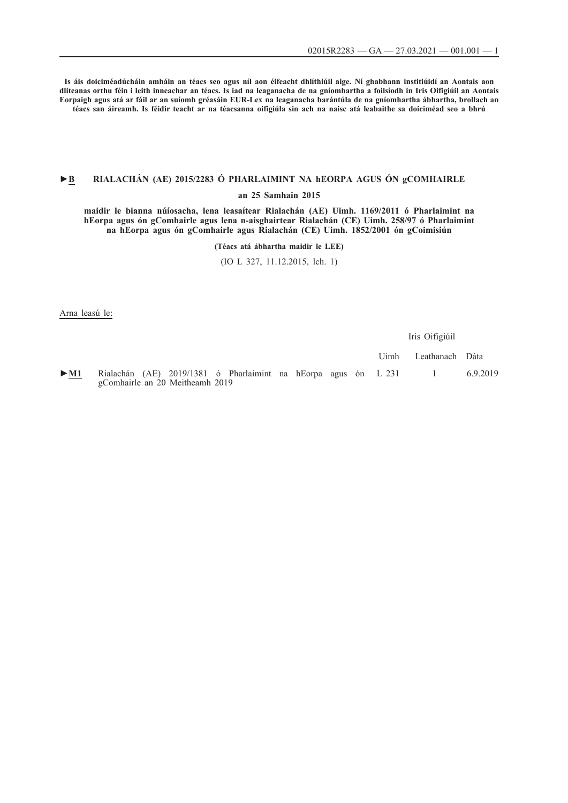**Is áis doiciméadúcháin amháin an téacs seo agus níl aon éifeacht dhlíthiúil aige. Ní ghabhann institiúidí an Aontais aon dliteanas orthu féin i leith inneachar an téacs. Is iad na leaganacha de na gníomhartha a foilsíodh in Iris Oifigiúil an Aontais Eorpaigh agus atá ar fáil ar an suíomh gréasáin EUR-Lex na leaganacha barántúla de na gníomhartha ábhartha, brollach an téacs san áireamh. Is féidir teacht ar na téacsanna oifigiúla sin ach na naisc atá leabaithe sa doiciméad seo a bhrú**

# **►B [RIALACHÁN \(AE\) 2015/2283 Ó PHARLAIMINT NA hEORPA AGUS ÓN gCOMHAIRLE](http://data.europa.eu/eli/reg/2015/2283/oj/gle)**

### **[an 25 Samhain 2015](http://data.europa.eu/eli/reg/2015/2283/oj/gle)**

**[maidir le bianna núíosacha, lena leasaítear Rialachán \(AE\) Uimh. 1169/2011 ó Pharlaimint na](http://data.europa.eu/eli/reg/2015/2283/oj/gle) [hEorpa agus ón gComhairle agus lena n-aisghairtear Rialachán \(CE\) Uimh. 258/97 ó Pharlaimint](http://data.europa.eu/eli/reg/2015/2283/oj/gle) [na hEorpa agus ón gComhairle agus Rialachán \(CE\) Uimh. 1852/2001 ón gCoimisiún](http://data.europa.eu/eli/reg/2015/2283/oj/gle)**

**[\(Téacs atá ábhartha maidir le LEE\)](http://data.europa.eu/eli/reg/2015/2283/oj/gle)**

[\(IO L 327, 11.12.2015, lch. 1\)](http://data.europa.eu/eli/reg/2015/2283/oj/gle)

Arna leasú le:

Iris Oifigiúil

Uimh Leathanach Dáta [►](http://data.europa.eu/eli/reg/2019/1381/oj/gle)**[M1](http://data.europa.eu/eli/reg/2019/1381/oj/gle)** [Rialachán \(AE\) 2019/1381 ó Pharlaimint na hEorpa agus ón](http://data.europa.eu/eli/reg/2019/1381/oj/gle) [gComhairle an 20 Meitheamh 2019](http://data.europa.eu/eli/reg/2019/1381/oj/gle) [L 231 1 6.9.2019](http://data.europa.eu/eli/reg/2019/1381/oj/gle)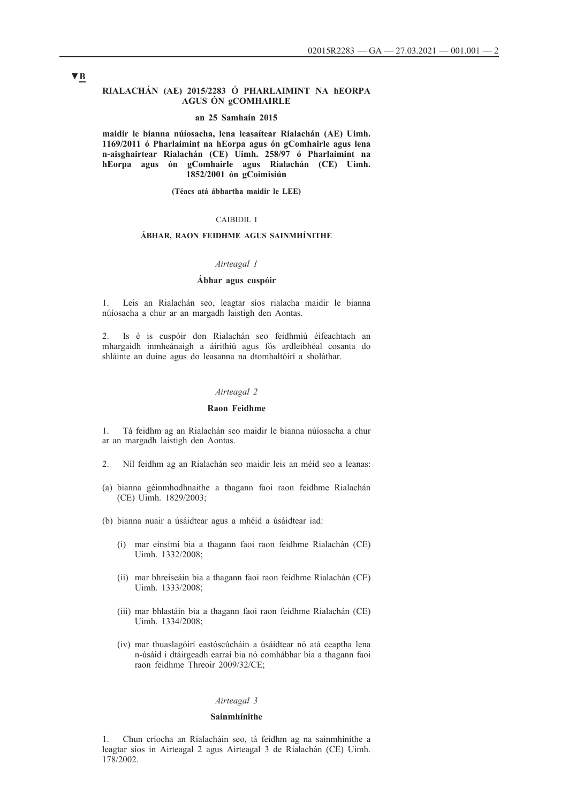### **RIALACHÁN (AE) 2015/2283 Ó PHARLAIMINT NA hEORPA AGUS ÓN gCOMHAIRLE**

### **an 25 Samhain 2015**

**maidir le bianna núíosacha, lena leasaítear Rialachán (AE) Uimh. 1169/2011 ó Pharlaimint na hEorpa agus ón gComhairle agus lena n-aisghairtear Rialachán (CE) Uimh. 258/97 ó Pharlaimint na hEorpa agus ón gComhairle agus Rialachán (CE) Uimh. 1852/2001 ón gCoimisiún**

**(Téacs atá ábhartha maidir le LEE)**

# CAIBIDIL I

# **ÁBHAR, RAON FEIDHME AGUS SAINMHÍNITHE**

#### *Airteagal 1*

### **Ábhar agus cuspóir**

1. Leis an Rialachán seo, leagtar síos rialacha maidir le bianna núíosacha a chur ar an margadh laistigh den Aontas.

2. Is é is cuspóir don Rialachán seo feidhmiú éifeachtach an mhargaidh inmheánaigh a áirithiú agus fós ardleibhéal cosanta do shláinte an duine agus do leasanna na dtomhaltóirí a sholáthar.

# *Airteagal 2*

### **Raon Feidhme**

1. Tá feidhm ag an Rialachán seo maidir le bianna núíosacha a chur ar an margadh laistigh den Aontas.

- 2. Níl feidhm ag an Rialachán seo maidir leis an méid seo a leanas:
- (a) bianna géinmhodhnaithe a thagann faoi raon feidhme Rialachán (CE) Uimh. 1829/2003;
- (b) bianna nuair a úsáidtear agus a mhéid a úsáidtear iad:
	- (i) mar einsímí bia a thagann faoi raon feidhme Rialachán (CE) Uimh. 1332/2008;
	- (ii) mar bhreiseáin bia a thagann faoi raon feidhme Rialachán (CE) Uimh. 1333/2008;
	- (iii) mar bhlastáin bia a thagann faoi raon feidhme Rialachán (CE) Uimh. 1334/2008;
	- (iv) mar thuaslagóirí eastóscúcháin a úsáidtear nó atá ceaptha lena n-úsáid i dtáirgeadh earraí bia nó comhábhar bia a thagann faoi raon feidhme Threoir 2009/32/CE;

#### *Airteagal 3*

#### **Sainmhínithe**

1. Chun críocha an Rialacháin seo, tá feidhm ag na sainmhínithe a leagtar síos in Airteagal 2 agus Airteagal 3 de Rialachán (CE) Uimh. 178/2002.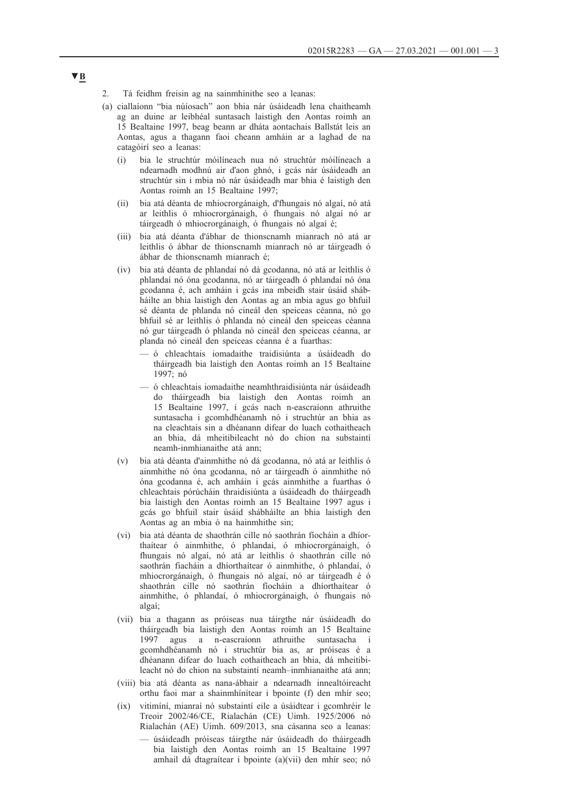- 2. Tá feidhm freisin ag na sainmhínithe seo a leanas:
- (a) ciallaíonn "bia núíosach" aon bhia nár úsáideadh lena chaitheamh ag an duine ar leibhéal suntasach laistigh den Aontas roimh an 15 Bealtaine 1997, beag beann ar dháta aontachais Ballstát leis an Aontas, agus a thagann faoi cheann amháin ar a laghad de na catagóirí seo a leanas:
	- (i) bia le struchtúr móilíneach nua nó struchtúr móilíneach a ndearnadh modhnú air d'aon ghnó, i gcás nár úsáideadh an struchtúr sin i mbia nó nár úsáideadh mar bhia é laistigh den Aontas roimh an 15 Bealtaine 1997;
	- (ii) bia atá déanta de mhiocrorgánaigh, d'fhungais nó algaí, nó atá ar leithlis ó mhiocrorgánaigh, ó fhungais nó algaí nó ar táirgeadh ó mhiocrorgánaigh, ó fhungais nó algaí é;
	- (iii) bia atá déanta d'ábhar de thionscnamh mianrach nó atá ar leithlis ó ábhar de thionscnamh mianrach nó ar táirgeadh ó ábhar de thionscnamh mianrach é;
	- (iv) bia atá déanta de phlandaí nó dá gcodanna, nó atá ar leithlis ó phlandaí nó óna gcodanna, nó ar táirgeadh ó phlandaí nó óna gcodanna é, ach amháin i gcás ina mbeidh stair úsáid shábháilte an bhia laistigh den Aontas ag an mbia agus go bhfuil sé déanta de phlanda nó cineál den speiceas céanna, nó go bhfuil sé ar leithlis ó phlanda nó cineál den speiceas céanna nó gur táirgeadh ó phlanda nó cineál den speiceas céanna, ar planda nó cineál den speiceas céanna é a fuarthas:
		- ó chleachtais iomadaithe traidisiúnta a úsáideadh do tháirgeadh bia laistigh den Aontas roimh an 15 Bealtaine 1997; nó
		- ó chleachtais iomadaithe neamhthraidisiúnta nár úsáideadh do tháirgeadh bia laistigh den Aontas roimh an 15 Bealtaine 1997, i gcás nach n-eascraíonn athruithe suntasacha i gcomhdhéanamh nó i struchtúr an bhia as na cleachtais sin a dhéanann difear do luach cothaitheach an bhia, dá mheitibileacht nó do chion na substaintí neamh-inmhianaithe atá ann;
	- (v) bia atá déanta d'ainmhithe nó dá gcodanna, nó atá ar leithlis ó ainmhithe nó óna gcodanna, nó ar táirgeadh ó ainmhithe nó óna gcodanna é, ach amháin i gcás ainmhithe a fuarthas ó chleachtais pórúcháin thraidisiúnta a úsáideadh do tháirgeadh bia laistigh den Aontas roimh an 15 Bealtaine 1997 agus i gcás go bhfuil stair úsáid shábháilte an bhia laistigh den Aontas ag an mbia ó na hainmhithe sin;
	- (vi) bia atá déanta de shaothrán cille nó saothrán fíocháin a dhíorthaítear ó ainmhithe, ó phlandaí, ó mhiocrorgánaigh, ó fhungais nó algaí, nó atá ar leithlis ó shaothrán cille nó saothrán fiacháin a dhíorthaítear ó ainmhithe, ó phlandaí, ó mhiocrorgánaigh, ó fhungais nó algaí, nó ar táirgeadh é ó shaothrán cille nó saothrán fíocháin a dhíorthaítear ó ainmhithe, ó phlandaí, ó mhiocrorgánaigh, ó fhungais nó algaí;
	- (vii) bia a thagann as próiseas nua táirgthe nár úsáideadh do tháirgeadh bia laistigh den Aontas roimh an 15 Bealtaine 1997 agus a n-eascraíonn athruithe suntasacha i gcomhdhéanamh nó i struchtúr bia as, ar próiseas é a dhéanann difear do luach cothaitheach an bhia, dá mheitibileacht nó do chion na substaintí neamh–inmhianaithe atá ann;
	- (viii) bia atá déanta as nana-ábhair a ndearnadh innealtóireacht orthu faoi mar a shainmhínítear i bpointe (f) den mhír seo;
	- (ix) vitimíní, mianraí nó substaintí eile a úsáidtear i gcomhréir le Treoir 2002/46/CE, Rialachán (CE) Uimh. 1925/2006 nó Rialachán (AE) Uimh. 609/2013, sna cásanna seo a leanas:
		- úsáideadh próiseas táirgthe nár úsáideadh do tháirgeadh bia laistigh den Aontas roimh an 15 Bealtaine 1997 amhail dá dtagraítear i bpointe (a)(vii) den mhír seo; nó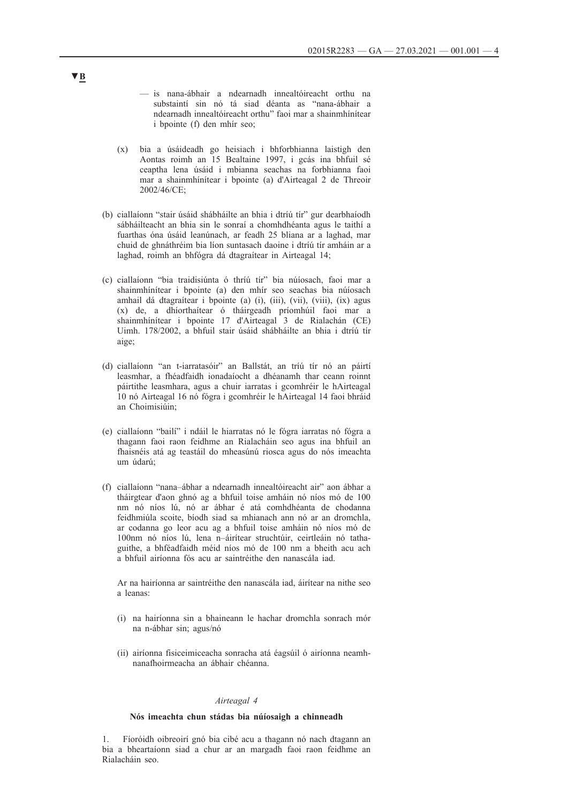- is nana-ábhair a ndearnadh innealtóireacht orthu na substaintí sin nó tá siad déanta as "nana-ábhair a ndearnadh innealtóireacht orthu" faoi mar a shainmhínítear i bpointe (f) den mhír seo;
- (x) bia a úsáideadh go heisiach i bhforbhianna laistigh den Aontas roimh an 15 Bealtaine 1997, i gcás ina bhfuil sé ceaptha lena úsáid i mbianna seachas na forbhianna faoi mar a shainmhínítear i bpointe (a) d'Airteagal 2 de Threoir 2002/46/CE;
- (b) ciallaíonn "stair úsáid shábháilte an bhia i dtríú tír" gur dearbhaíodh sábháilteacht an bhia sin le sonraí a chomhdhéanta agus le taithí a fuarthas óna úsáid leanúnach, ar feadh 25 bliana ar a laghad, mar chuid de ghnáthréim bia líon suntasach daoine i dtríú tír amháin ar a laghad, roimh an bhfógra dá dtagraítear in Airteagal 14;
- (c) ciallaíonn "bia traidisiúnta ó thríú tír" bia núíosach, faoi mar a shainmhínítear i bpointe (a) den mhír seo seachas bia núíosach amhail dá dtagraítear i bpointe (a) (i), (iii), (vii), (viii), (ix) agus (x) de, a dhíorthaítear ó tháirgeadh príomhúil faoi mar a shainmhínítear i bpointe 17 d'Airteagal 3 de Rialachán (CE) Uimh. 178/2002, a bhfuil stair úsáid shábháilte an bhia i dtríú tír aige;
- (d) ciallaíonn "an t-iarratasóir" an Ballstát, an tríú tír nó an páirtí leasmhar, a fhéadfaidh ionadaíocht a dhéanamh thar ceann roinnt páirtithe leasmhara, agus a chuir iarratas i gcomhréir le hAirteagal 10 nó Airteagal 16 nó fógra i gcomhréir le hAirteagal 14 faoi bhráid an Choimisiúin;
- (e) ciallaíonn "bailí" i ndáil le hiarratas nó le fógra iarratas nó fógra a thagann faoi raon feidhme an Rialacháin seo agus ina bhfuil an fhaisnéis atá ag teastáil do mheasúnú riosca agus do nós imeachta um údarú;
- (f) ciallaíonn "nana–ábhar a ndearnadh innealtóireacht air" aon ábhar a tháirgtear d'aon ghnó ag a bhfuil toise amháin nó níos mó de 100 nm nó níos lú, nó ar ábhar é atá comhdhéanta de chodanna feidhmiúla scoite, bíodh siad sa mhianach ann nó ar an dromchla, ar codanna go leor acu ag a bhfuil toise amháin nó níos mó de 100nm nó níos lú, lena n–áirítear struchtúir, ceirtleáin nó tathaguithe, a bhféadfaidh méid níos mó de 100 nm a bheith acu ach a bhfuil airíonna fós acu ar saintréithe den nanascála iad.

Ar na hairíonna ar saintréithe den nanascála iad, áirítear na nithe seo a leanas:

- (i) na hairíonna sin a bhaineann le hachar dromchla sonrach mór na n-ábhar sin; agus/nó
- (ii) airíonna fisiceimiceacha sonracha atá éagsúil ó airíonna neamhnanafhoirmeacha an ábhair chéanna.

#### *Airteagal 4*

# **Nós imeachta chun stádas bia núíosaigh a chinneadh**

1. Fíoróidh oibreoirí gnó bia cibé acu a thagann nó nach dtagann an bia a bheartaíonn siad a chur ar an margadh faoi raon feidhme an Rialacháin seo.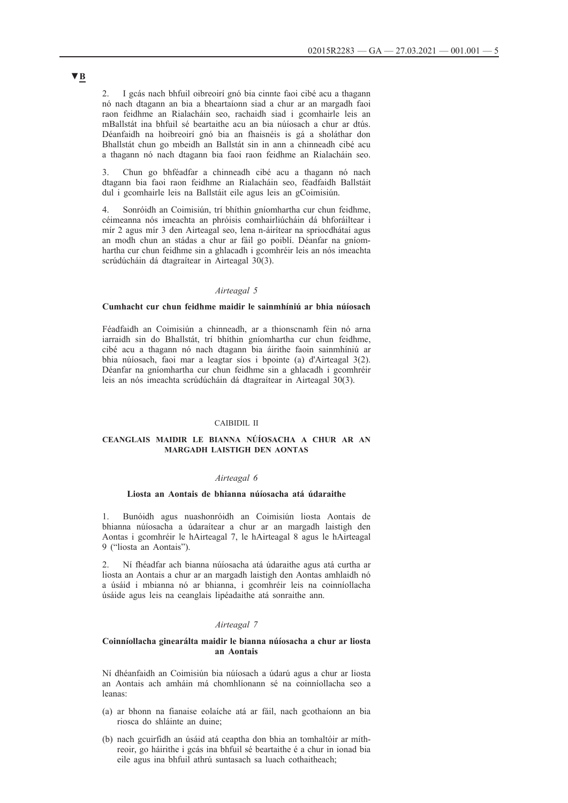2. I gcás nach bhfuil oibreoirí gnó bia cinnte faoi cibé acu a thagann nó nach dtagann an bia a bheartaíonn siad a chur ar an margadh faoi raon feidhme an Rialacháin seo, rachaidh siad i gcomhairle leis an mBallstát ina bhfuil sé beartaithe acu an bia núíosach a chur ar dtús. Déanfaidh na hoibreoirí gnó bia an fhaisnéis is gá a sholáthar don Bhallstát chun go mbeidh an Ballstát sin in ann a chinneadh cibé acu a thagann nó nach dtagann bia faoi raon feidhme an Rialacháin seo.

3. Chun go bhféadfar a chinneadh cibé acu a thagann nó nach dtagann bia faoi raon feidhme an Rialacháin seo, féadfaidh Ballstáit dul i gcomhairle leis na Ballstáit eile agus leis an gCoimisiún.

4. Sonróidh an Coimisiún, trí bhíthin gníomhartha cur chun feidhme, céimeanna nós imeachta an phróisis comhairliúcháin dá bhforáiltear i mír 2 agus mír 3 den Airteagal seo, lena n-áirítear na spriocdhátaí agus an modh chun an stádas a chur ar fáil go poiblí. Déanfar na gníomhartha cur chun feidhme sin a ghlacadh i gcomhréir leis an nós imeachta scrúdúcháin dá dtagraítear in Airteagal 30(3).

## *Airteagal 5*

# **Cumhacht cur chun feidhme maidir le sainmhíniú ar bhia núíosach**

Féadfaidh an Coimisiún a chinneadh, ar a thionscnamh féin nó arna iarraidh sin do Bhallstát, trí bhíthin gníomhartha cur chun feidhme, cibé acu a thagann nó nach dtagann bia áirithe faoin sainmhíniú ar bhia núíosach, faoi mar a leagtar síos i bpointe (a) d'Airteagal 3(2). Déanfar na gníomhartha cur chun feidhme sin a ghlacadh i gcomhréir leis an nós imeachta scrúdúcháin dá dtagraítear in Airteagal 30(3).

## CAIBIDIL II

# **CEANGLAIS MAIDIR LE BIANNA NÚÍOSACHA A CHUR AR AN MARGADH LAISTIGH DEN AONTAS**

### *Airteagal 6*

### **Liosta an Aontais de bhianna núíosacha atá údaraithe**

1. Bunóidh agus nuashonróidh an Coimisiún liosta Aontais de bhianna núíosacha a údaraítear a chur ar an margadh laistigh den Aontas i gcomhréir le hAirteagal 7, le hAirteagal 8 agus le hAirteagal 9 ("liosta an Aontais").

2. Ní fhéadfar ach bianna núíosacha atá údaraithe agus atá curtha ar liosta an Aontais a chur ar an margadh laistigh den Aontas amhlaidh nó a úsáid i mbianna nó ar bhianna, i gcomhréir leis na coinníollacha úsáide agus leis na ceanglais lipéadaithe atá sonraithe ann.

### *Airteagal 7*

### **Coinníollacha ginearálta maidir le bianna núíosacha a chur ar liosta an Aontais**

Ní dhéanfaidh an Coimisiún bia núíosach a údarú agus a chur ar liosta an Aontais ach amháin má chomhlíonann sé na coinníollacha seo a leanas:

- (a) ar bhonn na fianaise eolaíche atá ar fáil, nach gcothaíonn an bia riosca do shláinte an duine;
- (b) nach gcuirfidh an úsáid atá ceaptha don bhia an tomhaltóir ar míthreoir, go háirithe i gcás ina bhfuil sé beartaithe é a chur in ionad bia eile agus ina bhfuil athrú suntasach sa luach cothaitheach;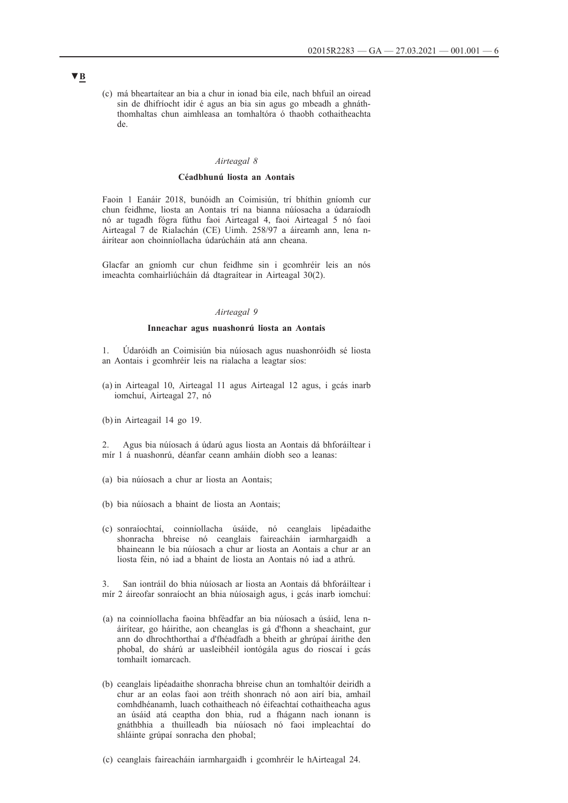(c) má bheartaítear an bia a chur in ionad bia eile, nach bhfuil an oiread sin de dhifríocht idir é agus an bia sin agus go mbeadh a ghnáththomhaltas chun aimhleasa an tomhaltóra ó thaobh cothaitheachta de.

# *Airteagal 8*

### **Céadbhunú liosta an Aontais**

Faoin 1 Eanáir 2018, bunóidh an Coimisiún, trí bhíthin gníomh cur chun feidhme, liosta an Aontais trí na bianna núíosacha a údaraíodh nó ar tugadh fógra fúthu faoi Airteagal 4, faoi Airteagal 5 nó faoi Airteagal 7 de Rialachán (CE) Uimh. 258/97 a áireamh ann, lena náirítear aon choinníollacha údarúcháin atá ann cheana.

Glacfar an gníomh cur chun feidhme sin i gcomhréir leis an nós imeachta comhairliúcháin dá dtagraítear in Airteagal 30(2).

# *Airteagal 9*

### **Inneachar agus nuashonrú liosta an Aontais**

1. Údaróidh an Coimisiún bia núíosach agus nuashonróidh sé liosta an Aontais i gcomhréir leis na rialacha a leagtar síos:

(a) in Airteagal 10, Airteagal 11 agus Airteagal 12 agus, i gcás inarb iomchuí, Airteagal 27, nó

(b) in Airteagail 14 go 19.

2. Agus bia núíosach á údarú agus liosta an Aontais dá bhforáiltear i mír 1 á nuashonrú, déanfar ceann amháin díobh seo a leanas:

- (a) bia núíosach a chur ar liosta an Aontais;
- (b) bia núíosach a bhaint de liosta an Aontais;
- (c) sonraíochtaí, coinníollacha úsáide, nó ceanglais lipéadaithe shonracha bhreise nó ceanglais faireacháin iarmhargaidh a bhaineann le bia núíosach a chur ar liosta an Aontais a chur ar an liosta féin, nó iad a bhaint de liosta an Aontais nó iad a athrú.

3. San iontráil do bhia núíosach ar liosta an Aontais dá bhforáiltear i mír 2 áireofar sonraíocht an bhia núíosaigh agus, i gcás inarb iomchuí:

- (a) na coinníollacha faoina bhféadfar an bia núíosach a úsáid, lena náirítear, go háirithe, aon cheanglas is gá d'fhonn a sheachaint, gur ann do dhrochthorthaí a d'fhéadfadh a bheith ar ghrúpaí áirithe den phobal, do shárú ar uasleibhéil iontógála agus do rioscaí i gcás tomhailt iomarcach.
- (b) ceanglais lipéadaithe shonracha bhreise chun an tomhaltóir deiridh a chur ar an eolas faoi aon tréith shonrach nó aon airí bia, amhail comhdhéanamh, luach cothaitheach nó éifeachtaí cothaitheacha agus an úsáid atá ceaptha don bhia, rud a fhágann nach ionann is gnáthbhia a thuilleadh bia núíosach nó faoi impleachtaí do shláinte grúpaí sonracha den phobal;
- (c) ceanglais faireacháin iarmhargaidh i gcomhréir le hAirteagal 24.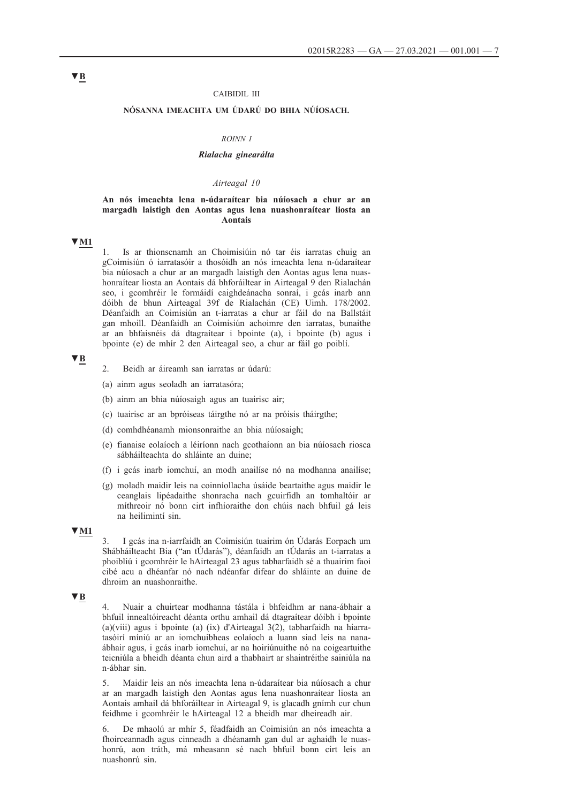### CAIBIDIL III

# **NÓSANNA IMEACHTA UM ÚDARÚ DO BHIA NÚÍOSACH.**

### *ROINN I*

# *Rialacha ginearálta*

## *Airteagal 10*

## **An nós imeachta lena n-údaraítear bia núíosach a chur ar an margadh laistigh den Aontas agus lena nuashonraítear liosta an Aontais**

**▼M1**

1. Is ar thionscnamh an Choimisiúin nó tar éis iarratas chuig an gCoimisiún ó iarratasóir a thosóidh an nós imeachta lena n-údaraítear bia núíosach a chur ar an margadh laistigh den Aontas agus lena nuashonraítear liosta an Aontais dá bhforáiltear in Airteagal 9 den Rialachán seo, i gcomhréir le formáidí caighdeánacha sonraí, i gcás inarb ann dóibh de bhun Airteagal 39f de Rialachán (CE) Uimh. 178/2002. Déanfaidh an Coimisiún an t-iarratas a chur ar fáil do na Ballstáit gan mhoill. Déanfaidh an Coimisiún achoimre den iarratas, bunaithe ar an bhfaisnéis dá dtagraítear i bpointe (a), i bpointe (b) agus i bpointe (e) de mhír 2 den Airteagal seo, a chur ar fáil go poiblí.

# **▼B**

- 2. Beidh ar áireamh san iarratas ar údarú:
- (a) ainm agus seoladh an iarratasóra;
- (b) ainm an bhia núíosaigh agus an tuairisc air;
- (c) tuairisc ar an bpróiseas táirgthe nó ar na próisis tháirgthe;
- (d) comhdhéanamh mionsonraithe an bhia núíosaigh;
- (e) fianaise eolaíoch a léiríonn nach gcothaíonn an bia núíosach riosca sábháilteachta do shláinte an duine;
- (f) i gcás inarb iomchuí, an modh anailíse nó na modhanna anailíse;
- (g) moladh maidir leis na coinníollacha úsáide beartaithe agus maidir le ceanglais lipéadaithe shonracha nach gcuirfidh an tomhaltóir ar míthreoir nó bonn cirt infhíoraithe don chúis nach bhfuil gá leis na heilimintí sin.

# **▼M1**

3. I gcás ina n-iarrfaidh an Coimisiún tuairim ón Údarás Eorpach um Shábháilteacht Bia ("an tÚdarás"), déanfaidh an tÚdarás an t-iarratas a phoibliú i gcomhréir le hAirteagal 23 agus tabharfaidh sé a thuairim faoi cibé acu a dhéanfar nó nach ndéanfar difear do shláinte an duine de dhroim an nuashonraithe.

### **▼B**

4. Nuair a chuirtear modhanna tástála i bhfeidhm ar nana-ábhair a bhfuil innealtóireacht déanta orthu amhail dá dtagraítear dóibh i bpointe (a)(viii) agus i bpointe (a) (ix) d'Airteagal 3(2), tabharfaidh na hiarratasóirí míniú ar an iomchuibheas eolaíoch a luann siad leis na nanaábhair agus, i gcás inarb iomchuí, ar na hoiriúnuithe nó na coigeartuithe teicniúla a bheidh déanta chun aird a thabhairt ar shaintréithe sainiúla na n-ábhar sin.

5. Maidir leis an nós imeachta lena n-údaraítear bia núíosach a chur ar an margadh laistigh den Aontas agus lena nuashonraítear liosta an Aontais amhail dá bhforáiltear in Airteagal 9, is glacadh gnímh cur chun feidhme i gcomhréir le hAirteagal 12 a bheidh mar dheireadh air.

6. De mhaolú ar mhír 5, féadfaidh an Coimisiún an nós imeachta a fhoirceannadh agus cinneadh a dhéanamh gan dul ar aghaidh le nuashonrú, aon tráth, má mheasann sé nach bhfuil bonn cirt leis an nuashonrú sin.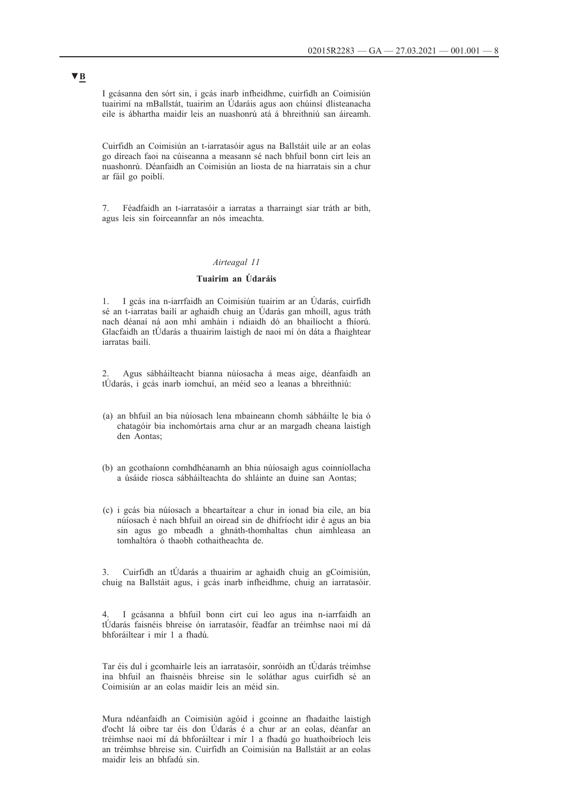I gcásanna den sórt sin, i gcás inarb infheidhme, cuirfidh an Coimisiún tuairimí na mBallstát, tuairim an Údaráis agus aon chúinsí dlisteanacha eile is ábhartha maidir leis an nuashonrú atá á bhreithniú san áireamh.

Cuirfidh an Coimisiún an t-iarratasóir agus na Ballstáit uile ar an eolas go díreach faoi na cúiseanna a measann sé nach bhfuil bonn cirt leis an nuashonrú. Déanfaidh an Coimisiún an liosta de na hiarratais sin a chur ar fáil go poiblí.

7. Féadfaidh an t-iarratasóir a iarratas a tharraingt siar tráth ar bith, agus leis sin foirceannfar an nós imeachta.

## *Airteagal 11*

# **Tuairim an Údaráis**

1. I gcás ina n-iarrfaidh an Coimisiún tuairim ar an Údarás, cuirfidh sé an t-iarratas bailí ar aghaidh chuig an Údarás gan mhoill, agus tráth nach déanaí ná aon mhí amháin i ndiaidh dó an bhailíocht a fhíorú. Glacfaidh an tÚdarás a thuairim laistigh de naoi mí ón dáta a fhaightear iarratas bailí.

2. Agus sábháilteacht bianna núíosacha á meas aige, déanfaidh an tÚdarás, i gcás inarb iomchuí, an méid seo a leanas a bhreithniú:

- (a) an bhfuil an bia núíosach lena mbaineann chomh sábháilte le bia ó chatagóir bia inchomórtais arna chur ar an margadh cheana laistigh den Aontas;
- (b) an gcothaíonn comhdhéanamh an bhia núíosaigh agus coinníollacha a úsáide riosca sábháilteachta do shláinte an duine san Aontas;
- (c) i gcás bia núíosach a bheartaítear a chur in ionad bia eile, an bia núíosach é nach bhfuil an oiread sin de dhifríocht idir é agus an bia sin agus go mbeadh a ghnáth-thomhaltas chun aimhleasa an tomhaltóra ó thaobh cothaitheachta de.

3. Cuirfidh an tÚdarás a thuairim ar aghaidh chuig an gCoimisiún, chuig na Ballstáit agus, i gcás inarb infheidhme, chuig an iarratasóir.

4. I gcásanna a bhfuil bonn cirt cuí leo agus ina n-iarrfaidh an tÚdarás faisnéis bhreise ón iarratasóir, féadfar an tréimhse naoi mí dá bhforáiltear i mír 1 a fhadú.

Tar éis dul i gcomhairle leis an iarratasóir, sonróidh an tÚdarás tréimhse ina bhfuil an fhaisnéis bhreise sin le soláthar agus cuirfidh sé an Coimisiún ar an eolas maidir leis an méid sin.

Mura ndéanfaidh an Coimisiún agóid i gcoinne an fhadaithe laistigh d'ocht lá oibre tar éis don Údarás é a chur ar an eolas, déanfar an tréimhse naoi mí dá bhforáiltear i mír 1 a fhadú go huathoibríoch leis an tréimhse bhreise sin. Cuirfidh an Coimisiún na Ballstáit ar an eolas maidir leis an bhfadú sin.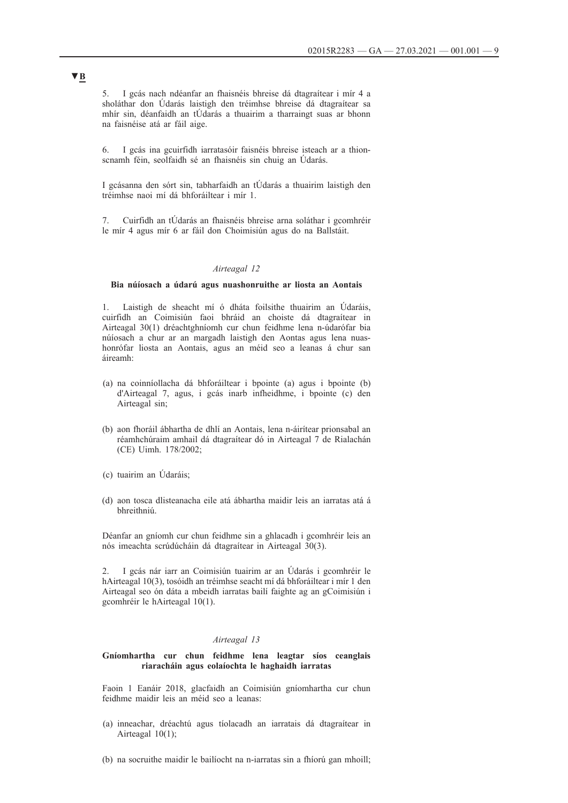5. I gcás nach ndéanfar an fhaisnéis bhreise dá dtagraítear i mír 4 a sholáthar don Údarás laistigh den tréimhse bhreise dá dtagraítear sa mhír sin, déanfaidh an tÚdarás a thuairim a tharraingt suas ar bhonn na faisnéise atá ar fáil aige.

6. I gcás ina gcuirfidh iarratasóir faisnéis bhreise isteach ar a thionscnamh féin, seolfaidh sé an fhaisnéis sin chuig an Údarás.

I gcásanna den sórt sin, tabharfaidh an tÚdarás a thuairim laistigh den tréimhse naoi mí dá bhforáiltear i mír 1.

7. Cuirfidh an tÚdarás an fhaisnéis bhreise arna soláthar i gcomhréir le mír 4 agus mír 6 ar fáil don Choimisiún agus do na Ballstáit.

# *Airteagal 12*

# **Bia núíosach a údarú agus nuashonruithe ar liosta an Aontais**

1. Laistigh de sheacht mí ó dháta foilsithe thuairim an Údaráis, cuirfidh an Coimisiún faoi bhráid an choiste dá dtagraítear in Airteagal 30(1) dréachtghníomh cur chun feidhme lena n-údarófar bia núíosach a chur ar an margadh laistigh den Aontas agus lena nuashonrófar liosta an Aontais, agus an méid seo a leanas á chur san áireamh:

- (a) na coinníollacha dá bhforáiltear i bpointe (a) agus i bpointe (b) d'Airteagal 7, agus, i gcás inarb infheidhme, i bpointe (c) den Airteagal sin;
- (b) aon fhoráil ábhartha de dhlí an Aontais, lena n-áirítear prionsabal an réamhchúraim amhail dá dtagraítear dó in Airteagal 7 de Rialachán (CE) Uimh. 178/2002;
- (c) tuairim an Údaráis;
- (d) aon tosca dlisteanacha eile atá ábhartha maidir leis an iarratas atá á bhreithniú.

Déanfar an gníomh cur chun feidhme sin a ghlacadh i gcomhréir leis an nós imeachta scrúdúcháin dá dtagraítear in Airteagal 30(3).

2. I gcás nár iarr an Coimisiún tuairim ar an Údarás i gcomhréir le hAirteagal 10(3), tosóidh an tréimhse seacht mí dá bhforáiltear i mír 1 den Airteagal seo ón dáta a mbeidh iarratas bailí faighte ag an gCoimisiún i gcomhréir le hAirteagal 10(1).

### *Airteagal 13*

# **Gníomhartha cur chun feidhme lena leagtar síos ceanglais riaracháin agus eolaíochta le haghaidh iarratas**

Faoin 1 Eanáir 2018, glacfaidh an Coimisiún gníomhartha cur chun feidhme maidir leis an méid seo a leanas:

- (a) inneachar, dréachtú agus tíolacadh an iarratais dá dtagraítear in Airteagal 10(1);
- (b) na socruithe maidir le bailíocht na n-iarratas sin a fhíorú gan mhoill;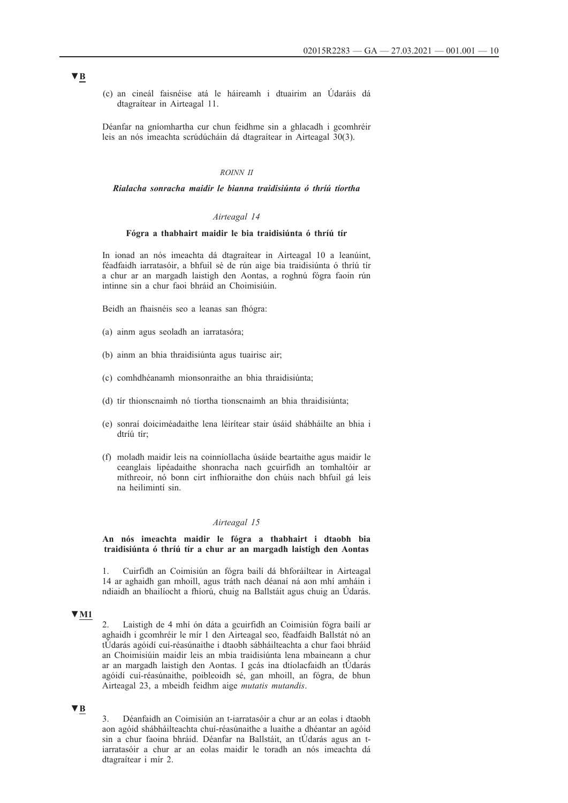(c) an cineál faisnéise atá le háireamh i dtuairim an Údaráis dá dtagraítear in Airteagal 11.

Déanfar na gníomhartha cur chun feidhme sin a ghlacadh i gcomhréir leis an nós imeachta scrúdúcháin dá dtagraítear in Airteagal 30(3).

# *ROINN II*

## *Rialacha sonracha maidir le bianna traidisiúnta ó thríú tíortha*

## *Airteagal 14*

# **Fógra a thabhairt maidir le bia traidisiúnta ó thríú tír**

In ionad an nós imeachta dá dtagraítear in Airteagal 10 a leanúint, féadfaidh iarratasóir, a bhfuil sé de rún aige bia traidisiúnta ó thríú tír a chur ar an margadh laistigh den Aontas, a roghnú fógra faoin rún intinne sin a chur faoi bhráid an Choimisiúin.

Beidh an fhaisnéis seo a leanas san fhógra:

- (a) ainm agus seoladh an iarratasóra;
- (b) ainm an bhia thraidisiúnta agus tuairisc air;
- (c) comhdhéanamh mionsonraithe an bhia thraidisiúnta;
- (d) tír thionscnaimh nó tíortha tionscnaimh an bhia thraidisiúnta;
- (e) sonraí doiciméadaithe lena léirítear stair úsáid shábháilte an bhia i dtríú tír;
- (f) moladh maidir leis na coinníollacha úsáide beartaithe agus maidir le ceanglais lipéadaithe shonracha nach gcuirfidh an tomhaltóir ar míthreoir, nó bonn cirt infhíoraithe don chúis nach bhfuil gá leis na heilimintí sin.

# *Airteagal 15*

**An nós imeachta maidir le fógra a thabhairt i dtaobh bia traidisiúnta ó thríú tír a chur ar an margadh laistigh den Aontas**

1. Cuirfidh an Coimisiún an fógra bailí dá bhforáiltear in Airteagal 14 ar aghaidh gan mhoill, agus tráth nach déanaí ná aon mhí amháin i ndiaidh an bhailíocht a fhíorú, chuig na Ballstáit agus chuig an Údarás.

### **▼M1**

2. Laistigh de 4 mhí ón dáta a gcuirfidh an Coimisiún fógra bailí ar aghaidh i gcomhréir le mír 1 den Airteagal seo, féadfaidh Ballstát nó an tÚdarás agóidí cuí-réasúnaithe i dtaobh sábháilteachta a chur faoi bhráid an Choimisiúin maidir leis an mbia traidisiúnta lena mbaineann a chur ar an margadh laistigh den Aontas. I gcás ina dtíolacfaidh an tÚdarás agóidí cuí-réasúnaithe, poibleoidh sé, gan mhoill, an fógra, de bhun Airteagal 23, a mbeidh feidhm aige *mutatis mutandis*.

# **▼B**

3. Déanfaidh an Coimisiún an t-iarratasóir a chur ar an eolas i dtaobh aon agóid shábháilteachta chuí-réasúnaithe a luaithe a dhéantar an agóid sin a chur faoina bhráid. Déanfar na Ballstáit, an tÚdarás agus an tiarratasóir a chur ar an eolas maidir le toradh an nós imeachta dá dtagraítear i mír 2.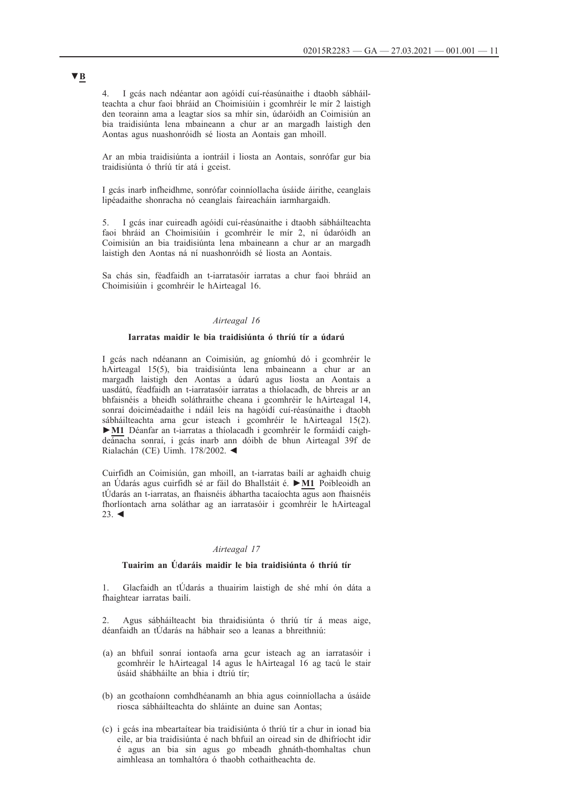4. I gcás nach ndéantar aon agóidí cuí-réasúnaithe i dtaobh sábháilteachta a chur faoi bhráid an Choimisiúin i gcomhréir le mír 2 laistigh den teorainn ama a leagtar síos sa mhír sin, údaróidh an Coimisiún an bia traidisiúnta lena mbaineann a chur ar an margadh laistigh den Aontas agus nuashonróidh sé liosta an Aontais gan mhoill.

Ar an mbia traidisiúnta a iontráil i liosta an Aontais, sonrófar gur bia traidisiúnta ó thríú tír atá i gceist.

I gcás inarb infheidhme, sonrófar coinníollacha úsáide áirithe, ceanglais lipéadaithe shonracha nó ceanglais faireacháin iarmhargaidh.

5. I gcás inar cuireadh agóidí cuí-réasúnaithe i dtaobh sábháilteachta faoi bhráid an Choimisiúin i gcomhréir le mír 2, ní údaróidh an Coimisiún an bia traidisiúnta lena mbaineann a chur ar an margadh laistigh den Aontas ná ní nuashonróidh sé liosta an Aontais.

Sa chás sin, féadfaidh an t-iarratasóir iarratas a chur faoi bhráid an Choimisiúin i gcomhréir le hAirteagal 16.

# *Airteagal 16*

### **Iarratas maidir le bia traidisiúnta ó thríú tír a údarú**

I gcás nach ndéanann an Coimisiún, ag gníomhú dó i gcomhréir le hAirteagal 15(5), bia traidisiúnta lena mbaineann a chur ar an margadh laistigh den Aontas a údarú agus liosta an Aontais a uasdátú, féadfaidh an t-iarratasóir iarratas a thíolacadh, de bhreis ar an bhfaisnéis a bheidh soláthraithe cheana i gcomhréir le hAirteagal 14, sonraí doiciméadaithe i ndáil leis na hagóidí cuí-réasúnaithe i dtaobh sábháilteachta arna gcur isteach i gcomhréir le hAirteagal 15(2). **►M1** Déanfar an t-iarratas a thíolacadh i gcomhréir le formáidí caighdeánacha sonraí, i gcás inarb ann dóibh de bhun Airteagal 39f de Rialachán (CE) Uimh. 178/2002. ◄

Cuirfidh an Coimisiún, gan mhoill, an t-iarratas bailí ar aghaidh chuig an Údarás agus cuirfidh sé ar fáil do Bhallstáit é. **►M1** Poibleoidh an tÚdarás an t-iarratas, an fhaisnéis ábhartha tacaíochta agus aon fhaisnéis fhorlíontach arna soláthar ag an iarratasóir i gcomhréir le hAirteagal 23. ◄

# *Airteagal 17*

### **Tuairim an Údaráis maidir le bia traidisiúnta ó thríú tír**

1. Glacfaidh an tÚdarás a thuairim laistigh de shé mhí ón dáta a fhaightear iarratas bailí.

2. Agus sábháilteacht bia thraidisiúnta ó thríú tír á meas aige, déanfaidh an tÚdarás na hábhair seo a leanas a bhreithniú:

- (a) an bhfuil sonraí iontaofa arna gcur isteach ag an iarratasóir i gcomhréir le hAirteagal 14 agus le hAirteagal 16 ag tacú le stair úsáid shábháilte an bhia i dtríú tír;
- (b) an gcothaíonn comhdhéanamh an bhia agus coinníollacha a úsáide riosca sábháilteachta do shláinte an duine san Aontas;
- (c) i gcás ina mbeartaítear bia traidisiúnta ó thríú tír a chur in ionad bia eile, ar bia traidisiúnta é nach bhfuil an oiread sin de dhifríocht idir é agus an bia sin agus go mbeadh ghnáth-thomhaltas chun aimhleasa an tomhaltóra ó thaobh cothaitheachta de.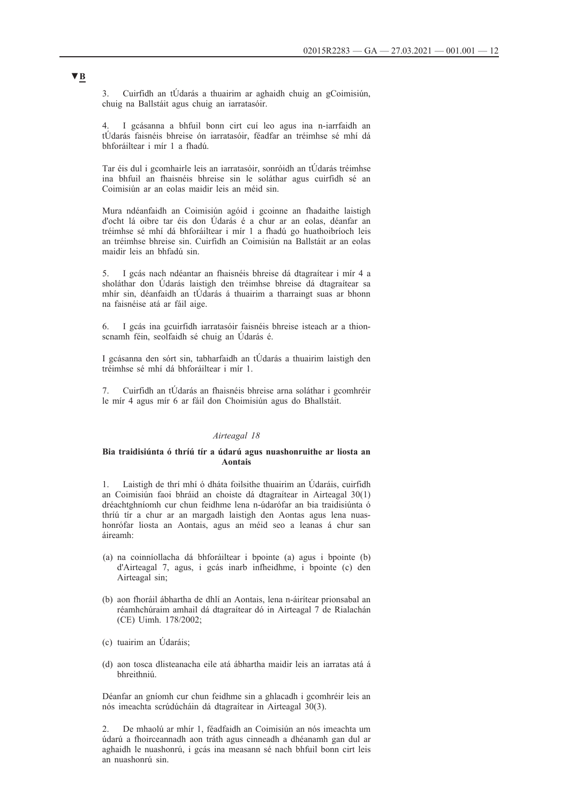3. Cuirfidh an tÚdarás a thuairim ar aghaidh chuig an gCoimisiún, chuig na Ballstáit agus chuig an iarratasóir.

4. I gcásanna a bhfuil bonn cirt cuí leo agus ina n-iarrfaidh an tÚdarás faisnéis bhreise ón iarratasóir, féadfar an tréimhse sé mhí dá bhforáiltear i mír 1 a fhadú.

Tar éis dul i gcomhairle leis an iarratasóir, sonróidh an tÚdarás tréimhse ina bhfuil an fhaisnéis bhreise sin le soláthar agus cuirfidh sé an Coimisiún ar an eolas maidir leis an méid sin.

Mura ndéanfaidh an Coimisiún agóid i gcoinne an fhadaithe laistigh d'ocht lá oibre tar éis don Údarás é a chur ar an eolas, déanfar an tréimhse sé mhí dá bhforáiltear i mír 1 a fhadú go huathoibríoch leis an tréimhse bhreise sin. Cuirfidh an Coimisiún na Ballstáit ar an eolas maidir leis an bhfadú sin.

5. I gcás nach ndéantar an fhaisnéis bhreise dá dtagraítear i mír 4 a sholáthar don Údarás laistigh den tréimhse bhreise dá dtagraítear sa mhír sin, déanfaidh an tÚdarás á thuairim a tharraingt suas ar bhonn na faisnéise atá ar fáil aige.

6. I gcás ina gcuirfidh iarratasóir faisnéis bhreise isteach ar a thionscnamh féin, seolfaidh sé chuig an Údarás é.

I gcásanna den sórt sin, tabharfaidh an tÚdarás a thuairim laistigh den tréimhse sé mhí dá bhforáiltear i mír 1.

7. Cuirfidh an tÚdarás an fhaisnéis bhreise arna soláthar i gcomhréir le mír 4 agus mír 6 ar fáil don Choimisiún agus do Bhallstáit.

## *Airteagal 18*

### **Bia traidisiúnta ó thríú tír a údarú agus nuashonruithe ar liosta an Aontais**

1. Laistigh de thrí mhí ó dháta foilsithe thuairim an Údaráis, cuirfidh an Coimisiún faoi bhráid an choiste dá dtagraítear in Airteagal 30(1) dréachtghníomh cur chun feidhme lena n-údarófar an bia traidisiúnta ó thríú tír a chur ar an margadh laistigh den Aontas agus lena nuashonrófar liosta an Aontais, agus an méid seo a leanas á chur san áireamh:

- (a) na coinníollacha dá bhforáiltear i bpointe (a) agus i bpointe (b) d'Airteagal 7, agus, i gcás inarb infheidhme, i bpointe (c) den Airteagal sin;
- (b) aon fhoráil ábhartha de dhlí an Aontais, lena n-áirítear prionsabal an réamhchúraim amhail dá dtagraítear dó in Airteagal 7 de Rialachán (CE) Uimh. 178/2002;
- (c) tuairim an Údaráis;
- (d) aon tosca dlisteanacha eile atá ábhartha maidir leis an iarratas atá á bhreithniú.

Déanfar an gníomh cur chun feidhme sin a ghlacadh i gcomhréir leis an nós imeachta scrúdúcháin dá dtagraítear in Airteagal 30(3).

2. De mhaolú ar mhír 1, féadfaidh an Coimisiún an nós imeachta um údarú a fhoirceannadh aon tráth agus cinneadh a dhéanamh gan dul ar aghaidh le nuashonrú, i gcás ina measann sé nach bhfuil bonn cirt leis an nuashonrú sin.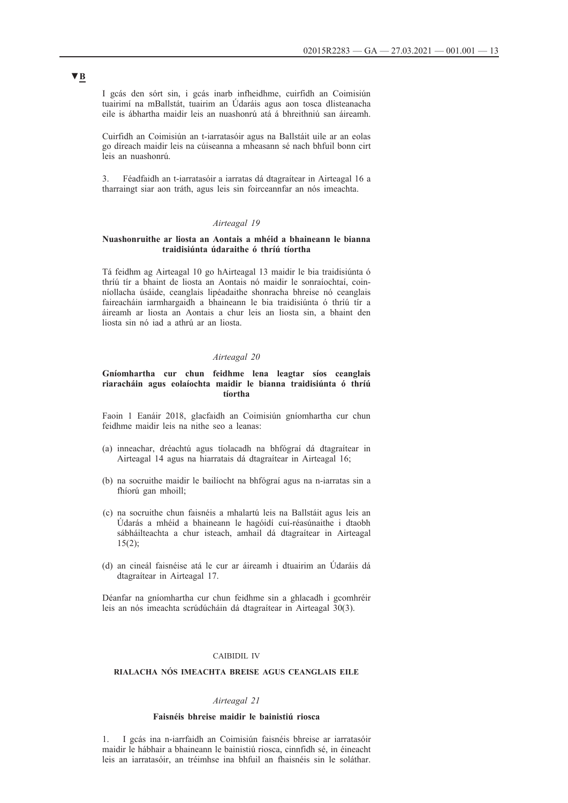I gcás den sórt sin, i gcás inarb infheidhme, cuirfidh an Coimisiún tuairimí na mBallstát, tuairim an Údaráis agus aon tosca dlisteanacha eile is ábhartha maidir leis an nuashonrú atá á bhreithniú san áireamh.

Cuirfidh an Coimisiún an t-iarratasóir agus na Ballstáit uile ar an eolas go díreach maidir leis na cúiseanna a mheasann sé nach bhfuil bonn cirt leis an nuashonrú.

3. Féadfaidh an t-iarratasóir a iarratas dá dtagraítear in Airteagal 16 a tharraingt siar aon tráth, agus leis sin foirceannfar an nós imeachta.

### *Airteagal 19*

# **Nuashonruithe ar liosta an Aontais a mhéid a bhaineann le bianna traidisiúnta údaraithe ó thríú tíortha**

Tá feidhm ag Airteagal 10 go hAirteagal 13 maidir le bia traidisiúnta ó thríú tír a bhaint de liosta an Aontais nó maidir le sonraíochtaí, coinníollacha úsáide, ceanglais lipéadaithe shonracha bhreise nó ceanglais faireacháin iarmhargaidh a bhaineann le bia traidisiúnta ó thríú tír a áireamh ar liosta an Aontais a chur leis an liosta sin, a bhaint den liosta sin nó iad a athrú ar an liosta.

#### *Airteagal 20*

# **Gníomhartha cur chun feidhme lena leagtar síos ceanglais riaracháin agus eolaíochta maidir le bianna traidisiúnta ó thríú tíortha**

Faoin 1 Eanáir 2018, glacfaidh an Coimisiún gníomhartha cur chun feidhme maidir leis na nithe seo a leanas:

- (a) inneachar, dréachtú agus tíolacadh na bhfógraí dá dtagraítear in Airteagal 14 agus na hiarratais dá dtagraítear in Airteagal 16;
- (b) na socruithe maidir le bailíocht na bhfógraí agus na n-iarratas sin a fhíorú gan mhoill;
- (c) na socruithe chun faisnéis a mhalartú leis na Ballstáit agus leis an Údarás a mhéid a bhaineann le hagóidí cuí-réasúnaithe i dtaobh sábháilteachta a chur isteach, amhail dá dtagraítear in Airteagal  $15(2)$ :
- (d) an cineál faisnéise atá le cur ar áireamh i dtuairim an Údaráis dá dtagraítear in Airteagal 17.

Déanfar na gníomhartha cur chun feidhme sin a ghlacadh i gcomhréir leis an nós imeachta scrúdúcháin dá dtagraítear in Airteagal 30(3).

# CAIBIDIL IV

# **RIALACHA NÓS IMEACHTA BREISE AGUS CEANGLAIS EILE**

#### *Airteagal 21*

# **Faisnéis bhreise maidir le bainistiú riosca**

1. I gcás ina n-iarrfaidh an Coimisiún faisnéis bhreise ar iarratasóir maidir le hábhair a bhaineann le bainistiú riosca, cinnfidh sé, in éineacht leis an iarratasóir, an tréimhse ina bhfuil an fhaisnéis sin le soláthar.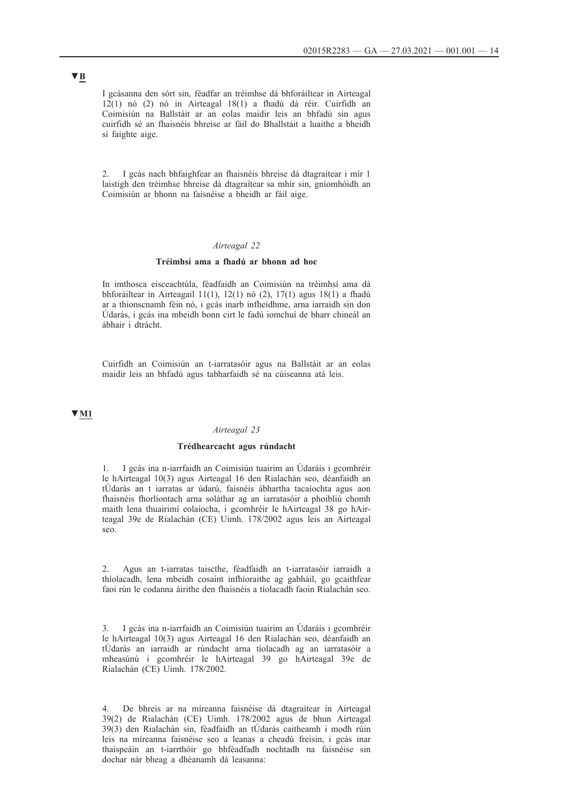I gcásanna den sórt sin, féadfar an tréimhse dá bhforáiltear in Airteagal 12(1) nó (2) nó in Airteagal 18(1) a fhadú dá réir. Cuirfidh an Coimisiún na Ballstáit ar an eolas maidir leis an bhfadú sin agus cuirfidh sé an fhaisnéis bhreise ar fáil do Bhallstáit a luaithe a bheidh sí faighte aige.

2. I gcás nach bhfaighfear an fhaisnéis bhreise dá dtagraítear i mír 1 laistigh den tréimhse bhreise dá dtagraítear sa mhír sin, gníomhóidh an Coimisiún ar bhonn na faisnéise a bheidh ar fáil aige.

### *Airteagal 22*

#### **Tréimhsí ama a fhadú ar bhonn ad hoc**

In imthosca eisceachtúla, féadfaidh an Coimisiún na tréimhsí ama dá bhforáiltear in Airteagail 11(1), 12(1) nó (2), 17(1) agus 18(1) a fhadú ar a thionscnamh féin nó, i gcás inarb infheidhme, arna iarraidh sin don Údarás, i gcás ina mbeidh bonn cirt le fadú iomchuí de bharr chineál an ábhair i dtrácht.

Cuirfidh an Coimisiún an t-iarratasóir agus na Ballstáit ar an eolas maidir leis an bhfadú agus tabharfaidh sé na cúiseanna atá leis.

# **▼M1**

#### *Airteagal 23*

#### **Trédhearcacht agus rúndacht**

1. I gcás ina n-iarrfaidh an Coimisiún tuairim an Údaráis i gcomhréir le hAirteagal 10(3) agus Airteagal 16 den Rialachán seo, déanfaidh an tÚdarás an t iarratas ar údarú, faisnéis ábhartha tacaíochta agus aon fhaisnéis fhorlíontach arna soláthar ag an iarratasóir a phoibliú chomh maith lena thuairimí eolaíocha, i gcomhréir le hAirteagal 38 go hAirteagal 39e de Rialachán (CE) Uimh. 178/2002 agus leis an Airteagal seo.

2. Agus an t-iarratas taiscthe, féadfaidh an t-iarratasóir iarraidh a thíolacadh, lena mbeidh cosaint infhíoraithe ag gabháil, go gcaithfear faoi rún le codanna áirithe den fhaisnéis a tíolacadh faoin Rialachán seo.

3. I gcás ina n-iarrfaidh an Coimisiún tuairim an Údaráis i gcomhréir le hAirteagal 10(3) agus Airteagal 16 den Rialachán seo, déanfaidh an tÚdarás an iarraidh ar rúndacht arna tíolacadh ag an iarratasóir a mheasúnú i gcomhréir le hAirteagal 39 go hAirteagal 39e de Rialachán (CE) Uimh. 178/2002.

4. De bhreis ar na míreanna faisnéise dá dtagraítear in Airteagal 39(2) de Rialachán (CE) Uimh. 178/2002 agus de bhun Airteagal 39(3) den Rialachán sin, féadfaidh an tÚdarás caitheamh i modh rúin leis na míreanna faisnéise seo a leanas a cheadú freisin, i gcás inar thaispeáin an t-iarrthóir go bhféadfadh nochtadh na faisnéise sin dochar nár bheag a dhéanamh dá leasanna: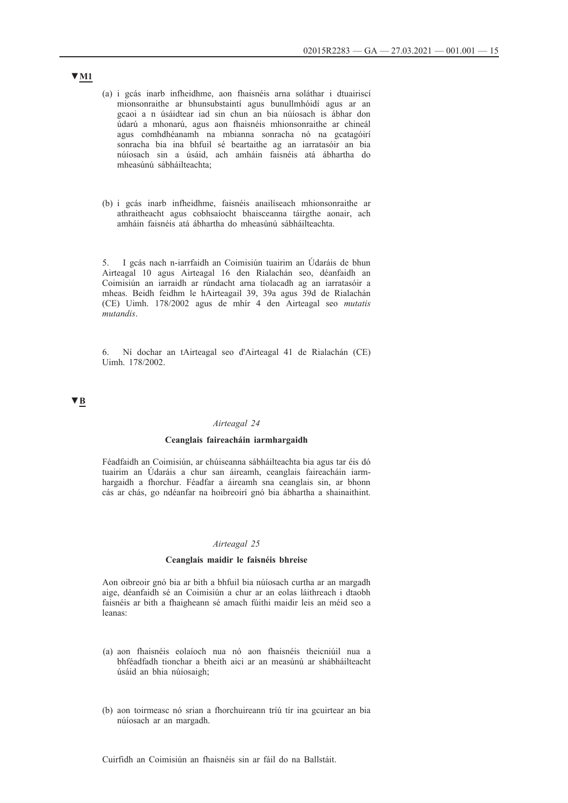- (a) i gcás inarb infheidhme, aon fhaisnéis arna soláthar i dtuairiscí mionsonraithe ar bhunsubstaintí agus bunullmhóidí agus ar an gcaoi a n úsáidtear iad sin chun an bia núíosach is ábhar don údarú a mhonarú, agus aon fhaisnéis mhionsonraithe ar chineál agus comhdhéanamh na mbianna sonracha nó na gcatagóirí sonracha bia ina bhfuil sé beartaithe ag an iarratasóir an bia núíosach sin a úsáid, ach amháin faisnéis atá ábhartha do mheasúnú sábháilteachta;
- (b) i gcás inarb infheidhme, faisnéis anailíseach mhionsonraithe ar athraitheacht agus cobhsaíocht bhaisceanna táirgthe aonair, ach amháin faisnéis atá ábhartha do mheasúnú sábháilteachta.

5. I gcás nach n-iarrfaidh an Coimisiún tuairim an Údaráis de bhun Airteagal 10 agus Airteagal 16 den Rialachán seo, déanfaidh an Coimisiún an iarraidh ar rúndacht arna tíolacadh ag an iarratasóir a mheas. Beidh feidhm le hAirteagail 39, 39a agus 39d de Rialachán (CE) Uimh. 178/2002 agus de mhír 4 den Airteagal seo *mutatis mutandis*.

6. Ní dochar an tAirteagal seo d'Airteagal 41 de Rialachán (CE) Uimh. 178/2002.

# **▼B**

# *Airteagal 24*

## **Ceanglais faireacháin iarmhargaidh**

Féadfaidh an Coimisiún, ar chúiseanna sábháilteachta bia agus tar éis dó tuairim an Údaráis a chur san áireamh, ceanglais faireacháin iarmhargaidh a fhorchur. Féadfar a áireamh sna ceanglais sin, ar bhonn cás ar chás, go ndéanfar na hoibreoirí gnó bia ábhartha a shainaithint.

#### *Airteagal 25*

#### **Ceanglais maidir le faisnéis bhreise**

Aon oibreoir gnó bia ar bith a bhfuil bia núíosach curtha ar an margadh aige, déanfaidh sé an Coimisiún a chur ar an eolas láithreach i dtaobh faisnéis ar bith a fhaigheann sé amach fúithi maidir leis an méid seo a leanas:

- (a) aon fhaisnéis eolaíoch nua nó aon fhaisnéis theicniúil nua a bhféadfadh tionchar a bheith aici ar an measúnú ar shábháilteacht úsáid an bhia núíosaigh;
- (b) aon toirmeasc nó srian a fhorchuireann tríú tír ina gcuirtear an bia núíosach ar an margadh.

## Cuirfidh an Coimisiún an fhaisnéis sin ar fáil do na Ballstáit.

# **▼M1**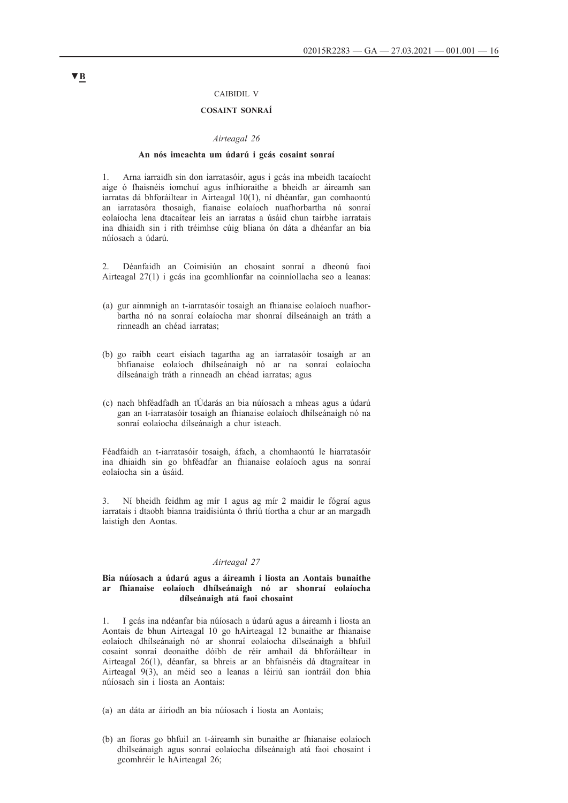## CAIBIDIL V

# **COSAINT SONRAÍ**

#### *Airteagal 26*

#### **An nós imeachta um údarú i gcás cosaint sonraí**

1. Arna iarraidh sin don iarratasóir, agus i gcás ina mbeidh tacaíocht aige ó fhaisnéis iomchuí agus infhíoraithe a bheidh ar áireamh san iarratas dá bhforáiltear in Airteagal 10(1), ní dhéanfar, gan comhaontú an iarratasóra thosaigh, fianaise eolaíoch nuafhorbartha ná sonraí eolaíocha lena dtacaítear leis an iarratas a úsáid chun tairbhe iarratais ina dhiaidh sin i rith tréimhse cúig bliana ón dáta a dhéanfar an bia núíosach a údarú.

2. Déanfaidh an Coimisiún an chosaint sonraí a dheonú faoi Airteagal 27(1) i gcás ina gcomhlíonfar na coinníollacha seo a leanas:

- (a) gur ainmnigh an t-iarratasóir tosaigh an fhianaise eolaíoch nuafhorbartha nó na sonraí eolaíocha mar shonraí dílseánaigh an tráth a rinneadh an chéad iarratas;
- (b) go raibh ceart eisiach tagartha ag an iarratasóir tosaigh ar an bhfianaise eolaíoch dhílseánaigh nó ar na sonraí eolaíocha dílseánaigh tráth a rinneadh an chéad iarratas; agus
- (c) nach bhféadfadh an tÚdarás an bia núíosach a mheas agus a údarú gan an t-iarratasóir tosaigh an fhianaise eolaíoch dhílseánaigh nó na sonraí eolaíocha dílseánaigh a chur isteach.

Féadfaidh an t-iarratasóir tosaigh, áfach, a chomhaontú le hiarratasóir ina dhiaidh sin go bhféadfar an fhianaise eolaíoch agus na sonraí eolaíocha sin a úsáid.

3. Ní bheidh feidhm ag mír 1 agus ag mír 2 maidir le fógraí agus iarratais i dtaobh bianna traidisiúnta ó thríú tíortha a chur ar an margadh laistigh den Aontas.

### *Airteagal 27*

## **Bia núíosach a údarú agus a áireamh i liosta an Aontais bunaithe ar fhianaise eolaíoch dhílseánaigh nó ar shonraí eolaíocha dílseánaigh atá faoi chosaint**

1. I gcás ina ndéanfar bia núíosach a údarú agus a áireamh i liosta an Aontais de bhun Airteagal 10 go hAirteagal 12 bunaithe ar fhianaise eolaíoch dhílseánaigh nó ar shonraí eolaíocha dílseánaigh a bhfuil cosaint sonraí deonaithe dóibh de réir amhail dá bhforáiltear in Airteagal 26(1), déanfar, sa bhreis ar an bhfaisnéis dá dtagraítear in Airteagal 9(3), an méid seo a leanas a léiriú san iontráil don bhia núíosach sin i liosta an Aontais:

- (a) an dáta ar áiríodh an bia núíosach i liosta an Aontais;
- (b) an fíoras go bhfuil an t-áireamh sin bunaithe ar fhianaise eolaíoch dhílseánaigh agus sonraí eolaíocha dílseánaigh atá faoi chosaint i gcomhréir le hAirteagal 26;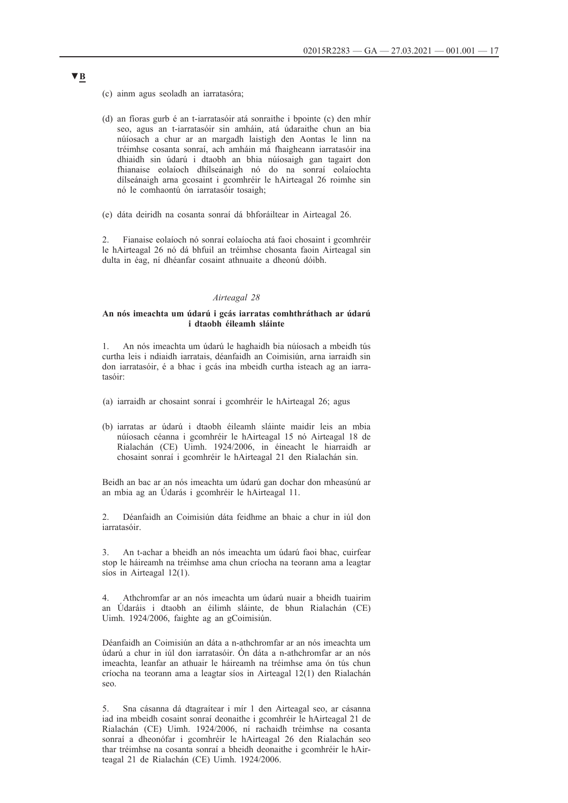- (c) ainm agus seoladh an iarratasóra;
- (d) an fíoras gurb é an t-iarratasóir atá sonraithe i bpointe (c) den mhír seo, agus an t-iarratasóir sin amháin, atá údaraithe chun an bia núíosach a chur ar an margadh laistigh den Aontas le linn na tréimhse cosanta sonraí, ach amháin má fhaigheann iarratasóir ina dhiaidh sin údarú i dtaobh an bhia núíosaigh gan tagairt don fhianaise eolaíoch dhílseánaigh nó do na sonraí eolaíochta dílseánaigh arna gcosaint i gcomhréir le hAirteagal 26 roimhe sin nó le comhaontú ón iarratasóir tosaigh;
- (e) dáta deiridh na cosanta sonraí dá bhforáiltear in Airteagal 26.

2. Fianaise eolaíoch nó sonraí eolaíocha atá faoi chosaint i gcomhréir le hAirteagal 26 nó dá bhfuil an tréimhse chosanta faoin Airteagal sin dulta in éag, ní dhéanfar cosaint athnuaite a dheonú dóibh.

### *Airteagal 28*

### **An nós imeachta um údarú i gcás iarratas comhthráthach ar údarú i dtaobh éileamh sláinte**

1. An nós imeachta um údarú le haghaidh bia núíosach a mbeidh tús curtha leis i ndiaidh iarratais, déanfaidh an Coimisiún, arna iarraidh sin don iarratasóir, é a bhac i gcás ina mbeidh curtha isteach ag an iarratasóir:

- (a) iarraidh ar chosaint sonraí i gcomhréir le hAirteagal 26; agus
- (b) iarratas ar údarú i dtaobh éileamh sláinte maidir leis an mbia núíosach céanna i gcomhréir le hAirteagal 15 nó Airteagal 18 de Rialachán (CE) Uimh. 1924/2006, in éineacht le hiarraidh ar chosaint sonraí i gcomhréir le hAirteagal 21 den Rialachán sin.

Beidh an bac ar an nós imeachta um údarú gan dochar don mheasúnú ar an mbia ag an Údarás i gcomhréir le hAirteagal 11.

2. Déanfaidh an Coimisiún dáta feidhme an bhaic a chur in iúl don iarratasóir.

3. An t-achar a bheidh an nós imeachta um údarú faoi bhac, cuirfear stop le háireamh na tréimhse ama chun críocha na teorann ama a leagtar síos in Airteagal 12(1).

4. Athchromfar ar an nós imeachta um údarú nuair a bheidh tuairim an Údaráis i dtaobh an éilimh sláinte, de bhun Rialachán (CE) Uimh. 1924/2006, faighte ag an gCoimisiún.

Déanfaidh an Coimisiún an dáta a n-athchromfar ar an nós imeachta um údarú a chur in iúl don iarratasóir. Ón dáta a n-athchromfar ar an nós imeachta, leanfar an athuair le háireamh na tréimhse ama ón tús chun críocha na teorann ama a leagtar síos in Airteagal 12(1) den Rialachán seo.

5. Sna cásanna dá dtagraítear i mír 1 den Airteagal seo, ar cásanna iad ina mbeidh cosaint sonraí deonaithe i gcomhréir le hAirteagal 21 de Rialachán (CE) Uimh. 1924/2006, ní rachaidh tréimhse na cosanta sonraí a dheonófar i gcomhréir le hAirteagal 26 den Rialachán seo thar tréimhse na cosanta sonraí a bheidh deonaithe i gcomhréir le hAirteagal 21 de Rialachán (CE) Uimh. 1924/2006.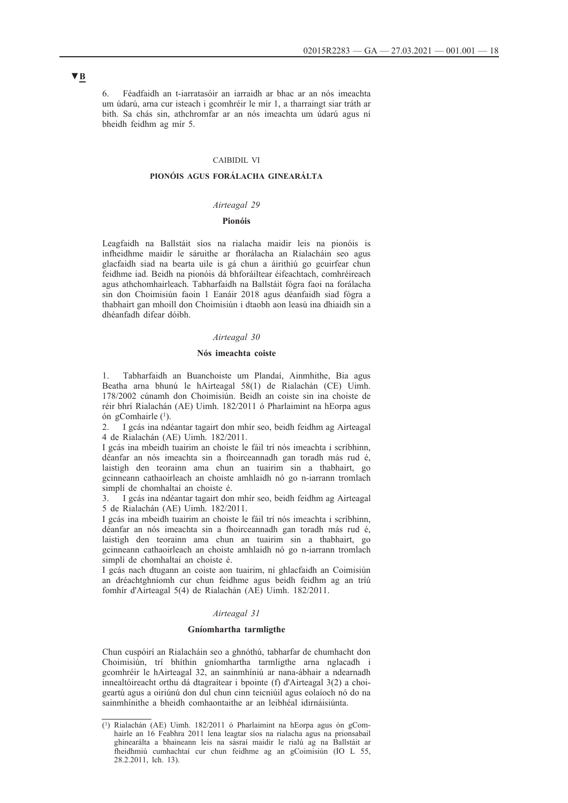6. Féadfaidh an t-iarratasóir an iarraidh ar bhac ar an nós imeachta um údarú, arna cur isteach i gcomhréir le mír 1, a tharraingt siar tráth ar bith. Sa chás sin, athchromfar ar an nós imeachta um údarú agus ní bheidh feidhm ag mír 5.

# CAIBIDIL VI

# **PIONÓIS AGUS FORÁLACHA GINEARÁLTA**

### *Airteagal 29*

### **Pionóis**

Leagfaidh na Ballstáit síos na rialacha maidir leis na pionóis is infheidhme maidir le sáruithe ar fhorálacha an Rialacháin seo agus glacfaidh siad na bearta uile is gá chun a áirithiú go gcuirfear chun feidhme iad. Beidh na pionóis dá bhforáiltear éifeachtach, comhréireach agus athchomhairleach. Tabharfaidh na Ballstáit fógra faoi na forálacha sin don Choimisiún faoin 1 Eanáir 2018 agus déanfaidh siad fógra a thabhairt gan mhoill don Choimisiún i dtaobh aon leasú ina dhiaidh sin a dhéanfadh difear dóibh.

# *Airteagal 30*

### **Nós imeachta coiste**

1. Tabharfaidh an Buanchoiste um Plandaí, Ainmhithe, Bia agus Beatha arna bhunú le hAirteagal 58(1) de Rialachán (CE) Uimh. 178/2002 cúnamh don Choimisiún. Beidh an coiste sin ina choiste de réir bhrí Rialachán (AE) Uimh. 182/2011 ó Pharlaimint na hEorpa agus ón gComhairle (1).

2. I gcás ina ndéantar tagairt don mhír seo, beidh feidhm ag Airteagal 4 de Rialachán (AE) Uimh. 182/2011.

I gcás ina mbeidh tuairim an choiste le fáil trí nós imeachta i scríbhinn, déanfar an nós imeachta sin a fhoirceannadh gan toradh más rud é, laistigh den teorainn ama chun an tuairim sin a thabhairt, go gcinneann cathaoirleach an choiste amhlaidh nó go n-iarrann tromlach simplí de chomhaltaí an choiste é.

3. I gcás ina ndéantar tagairt don mhír seo, beidh feidhm ag Airteagal 5 de Rialachán (AE) Uimh. 182/2011.

I gcás ina mbeidh tuairim an choiste le fáil trí nós imeachta i scríbhinn, déanfar an nós imeachta sin a fhoirceannadh gan toradh más rud é, laistigh den teorainn ama chun an tuairim sin a thabhairt, go gcinneann cathaoirleach an choiste amhlaidh nó go n-iarrann tromlach simplí de chomhaltaí an choiste é.

I gcás nach dtugann an coiste aon tuairim, ní ghlacfaidh an Coimisiún an dréachtghníomh cur chun feidhme agus beidh feidhm ag an tríú fomhír d'Airteagal 5(4) de Rialachán (AE) Uimh. 182/2011.

# *Airteagal 31*

### **Gníomhartha tarmligthe**

Chun cuspóirí an Rialacháin seo a ghnóthú, tabharfar de chumhacht don Choimisiún, trí bhíthin gníomhartha tarmligthe arna nglacadh i gcomhréir le hAirteagal 32, an sainmhíniú ar nana-ábhair a ndearnadh innealtóireacht orthu dá dtagraítear i bpointe (f) d'Airteagal 3(2) a choigeartú agus a oiriúnú don dul chun cinn teicniúil agus eolaíoch nó do na sainmhínithe a bheidh comhaontaithe ar an leibhéal idirnáisiúnta.

<sup>(1)</sup> Rialachán (AE) Uimh. 182/2011 ó Pharlaimint na hEorpa agus ón gComhairle an 16 Feabhra 2011 lena leagtar síos na rialacha agus na prionsabail ghinearálta a bhaineann leis na sásraí maidir le rialú ag na Ballstáit ar fheidhmiú cumhachtaí cur chun feidhme ag an gCoimisiún (IO L 55, 28.2.2011, lch. 13).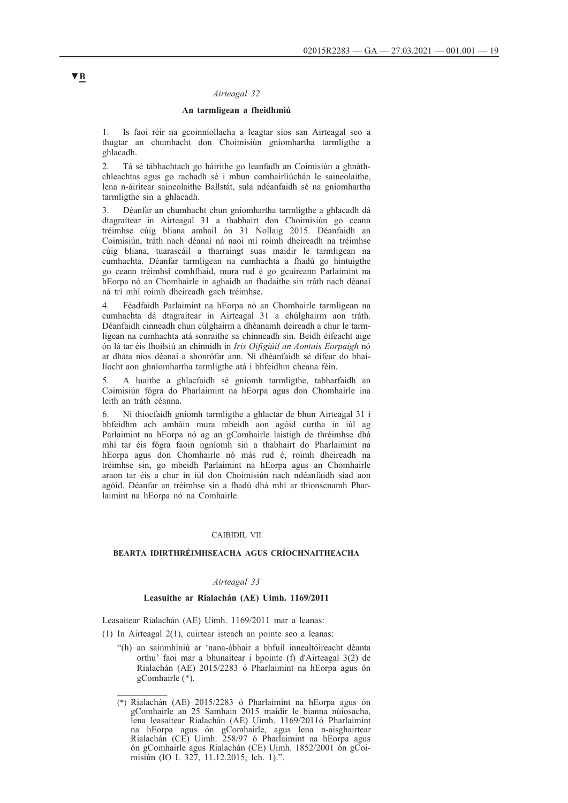## *Airteagal 32*

### **An tarmligean a fheidhmiú**

1. Is faoi réir na gcoinníollacha a leagtar síos san Airteagal seo a thugtar an chumhacht don Choimisiún gníomhartha tarmligthe a ghlacadh.

2. Tá sé tábhachtach go háirithe go leanfadh an Coimisiún a ghnáthchleachtas agus go rachadh sé i mbun comhairliúchán le saineolaithe, lena n-áirítear saineolaithe Ballstát, sula ndéanfaidh sé na gníomhartha tarmligthe sin a ghlacadh.

3. Déanfar an chumhacht chun gníomhartha tarmligthe a ghlacadh dá dtagraítear in Airteagal 31 a thabhairt don Choimisiún go ceann tréimhse cúig bliana amhail ón 31 Nollaig 2015. Déanfaidh an Coimisiún, tráth nach déanaí ná naoi mí roimh dheireadh na tréimhse cúig bliana, tuarascáil a tharraingt suas maidir le tarmligean na cumhachta. Déanfar tarmligean na cumhachta a fhadú go hintuigthe go ceann tréimhsí comhfhaid, mura rud é go gcuireann Parlaimint na hEorpa nó an Chomhairle in aghaidh an fhadaithe sin tráth nach déanaí ná trí mhí roimh dheireadh gach tréimhse.

4. Féadfaidh Parlaimint na hEorpa nó an Chomhairle tarmligean na cumhachta dá dtagraítear in Airteagal 31 a chúlghairm aon tráth. Déanfaidh cinneadh chun cúlghairm a dhéanamh deireadh a chur le tarmligean na cumhachta atá sonraithe sa chinneadh sin. Beidh éifeacht aige ón lá tar éis fhoilsiú an chinnidh in *Iris Oifigiúil an Aontais Eorpaigh* nó ar dháta níos déanaí a shonrófar ann. Ní dhéanfaidh sé difear do bhailíocht aon ghníomhartha tarmligthe atá i bhfeidhm cheana féin.

5. A luaithe a ghlacfaidh sé gníomh tarmligthe, tabharfaidh an Coimisiún fógra do Pharlaimint na hEorpa agus don Chomhairle ina leith an tráth céanna.

6. Ní thiocfaidh gníomh tarmligthe a ghlactar de bhun Airteagal 31 i bhfeidhm ach amháin mura mbeidh aon agóid curtha in iúl ag Parlaimint na hEorpa nó ag an gComhairle laistigh de thréimhse dhá mhí tar éis fógra faoin ngníomh sin a thabhairt do Pharlaimint na hEorpa agus don Chomhairle nó más rud é, roimh dheireadh na tréimhse sin, go mbeidh Parlaimint na hEorpa agus an Chomhairle araon tar éis a chur in iúl don Choimisiún nach ndéanfaidh siad aon agóid. Déanfar an tréimhse sin a fhadú dhá mhí ar thionscnamh Pharlaimint na hEorpa nó na Comhairle.

#### CAIBIDIL VII

### **BEARTA IDIRTHRÉIMHSEACHA AGUS CRÍOCHNAITHEACHA**

## *Airteagal 33*

# **Leasuithe ar Rialachán (AE) Uimh. 1169/2011**

Leasaítear Rialachán (AE) Uimh. 1169/2011 mar a leanas:

(1) In Airteagal 2(1), cuirtear isteach an pointe seo a leanas:

"(h) an sainmhíniú ar 'nana-ábhair a bhfuil innealtóireacht déanta orthu' faoi mar a bhunaítear i bpointe (f) d'Airteagal 3(2) de Rialachán (AE) 2015/2283 ó Pharlaimint na hEorpa agus ón gComhairle (\*).

<sup>(\*)</sup> Rialachán (AE) 2015/2283 ó Pharlaimint na hEorpa agus ón gComhairle an 25 Samhain 2015 maidir le bianna núíosacha, lena leasaítear Rialachán (AE) Uimh. 1169/2011ó Pharlaimint na hEorpa agus ón gComhairle, agus lena n-aisghairtear Rialachán (CE) Uimh. 258/97 ó Pharlaimint na hEorpa agus ón gComhairle agus Rialachán (CE) Uimh. 1852/2001 ón gCoimisiún (IO L 327, 11.12.2015, lch. 1).".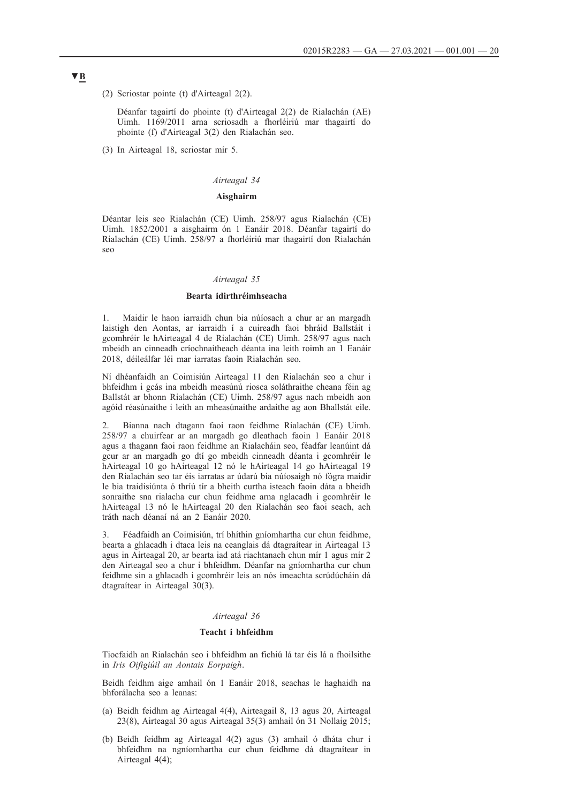(2) Scriostar pointe (t) d'Airteagal 2(2).

Déanfar tagairtí do phointe (t) d'Airteagal 2(2) de Rialachán (AE) Uimh. 1169/2011 arna scriosadh a fhorléiriú mar thagairtí do phointe (f) d'Airteagal 3(2) den Rialachán seo.

(3) In Airteagal 18, scriostar mír 5.

## *Airteagal 34*

# **Aisghairm**

Déantar leis seo Rialachán (CE) Uimh. 258/97 agus Rialachán (CE) Uimh. 1852/2001 a aisghairm ón 1 Eanáir 2018. Déanfar tagairtí do Rialachán (CE) Uimh. 258/97 a fhorléiriú mar thagairtí don Rialachán seo

#### *Airteagal 35*

## **Bearta idirthréimhseacha**

1. Maidir le haon iarraidh chun bia núíosach a chur ar an margadh laistigh den Aontas, ar iarraidh í a cuireadh faoi bhráid Ballstáit i gcomhréir le hAirteagal 4 de Rialachán (CE) Uimh. 258/97 agus nach mbeidh an cinneadh críochnaitheach déanta ina leith roimh an 1 Eanáir 2018, déileálfar léi mar iarratas faoin Rialachán seo.

Ní dhéanfaidh an Coimisiún Airteagal 11 den Rialachán seo a chur i bhfeidhm i gcás ina mbeidh measúnú riosca soláthraithe cheana féin ag Ballstát ar bhonn Rialachán (CE) Uimh. 258/97 agus nach mbeidh aon agóid réasúnaithe i leith an mheasúnaithe ardaithe ag aon Bhallstát eile.

2. Bianna nach dtagann faoi raon feidhme Rialachán (CE) Uimh. 258/97 a chuirfear ar an margadh go dleathach faoin 1 Eanáir 2018 agus a thagann faoi raon feidhme an Rialacháin seo, féadfar leanúint dá gcur ar an margadh go dtí go mbeidh cinneadh déanta i gcomhréir le hAirteagal 10 go hAirteagal 12 nó le hAirteagal 14 go hAirteagal 19 den Rialachán seo tar éis iarratas ar údarú bia núíosaigh nó fógra maidir le bia traidisiúnta ó thríú tír a bheith curtha isteach faoin dáta a bheidh sonraithe sna rialacha cur chun feidhme arna nglacadh i gcomhréir le hAirteagal 13 nó le hAirteagal 20 den Rialachán seo faoi seach, ach tráth nach déanaí ná an 2 Eanáir 2020.

3. Féadfaidh an Coimisiún, trí bhíthin gníomhartha cur chun feidhme, bearta a ghlacadh i dtaca leis na ceanglais dá dtagraítear in Airteagal 13 agus in Airteagal 20, ar bearta iad atá riachtanach chun mír 1 agus mír 2 den Airteagal seo a chur i bhfeidhm. Déanfar na gníomhartha cur chun feidhme sin a ghlacadh i gcomhréir leis an nós imeachta scrúdúcháin dá dtagraítear in Airteagal 30(3).

### *Airteagal 36*

### **Teacht i bhfeidhm**

Tiocfaidh an Rialachán seo i bhfeidhm an fichiú lá tar éis lá a fhoilsithe in *Iris Oifigiúil an Aontais Eorpaigh*.

Beidh feidhm aige amhail ón 1 Eanáir 2018, seachas le haghaidh na bhforálacha seo a leanas:

- (a) Beidh feidhm ag Airteagal 4(4), Airteagail 8, 13 agus 20, Airteagal 23(8), Airteagal 30 agus Airteagal 35(3) amhail ón 31 Nollaig 2015;
- (b) Beidh feidhm ag Airteagal 4(2) agus (3) amhail ó dháta chur i bhfeidhm na ngníomhartha cur chun feidhme dá dtagraítear in Airteagal 4(4);